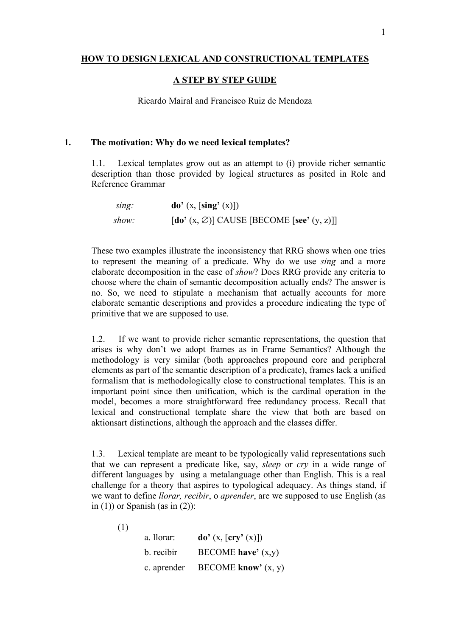### **HOW TO DESIGN LEXICAL AND CONSTRUCTIONAL TEMPLATES**

#### **A STEP BY STEP GUIDE**

Ricardo Mairal and Francisco Ruiz de Mendoza

#### **1. The motivation: Why do we need lexical templates?**

1.1. Lexical templates grow out as an attempt to (i) provide richer semantic description than those provided by logical structures as posited in Role and Reference Grammar

| sing: | $\mathbf{do}'(x, \lfloor \mathbf{sing}'(x) \rfloor)$                      |
|-------|---------------------------------------------------------------------------|
| show: | $\left[\text{do'}(x, \varnothing)\right]$ CAUSE [BECOME [see' $(y, z)$ ]] |

These two examples illustrate the inconsistency that RRG shows when one tries to represent the meaning of a predicate. Why do we use *sing* and a more elaborate decomposition in the case of *show*? Does RRG provide any criteria to choose where the chain of semantic decomposition actually ends? The answer is no. So, we need to stipulate a mechanism that actually accounts for more elaborate semantic descriptions and provides a procedure indicating the type of primitive that we are supposed to use.

1.2. If we want to provide richer semantic representations, the question that arises is why don't we adopt frames as in Frame Semantics? Although the methodology is very similar (both approaches propound core and peripheral elements as part of the semantic description of a predicate), frames lack a unified formalism that is methodologically close to constructional templates. This is an important point since then unification, which is the cardinal operation in the model, becomes a more straightforward free redundancy process. Recall that lexical and constructional template share the view that both are based on aktionsart distinctions, although the approach and the classes differ.

1.3. Lexical template are meant to be typologically valid representations such that we can represent a predicate like, say, *sleep* or *cry* in a wide range of different languages by using a metalanguage other than English. This is a real challenge for a theory that aspires to typological adequacy. As things stand, if we want to define *llorar, recibir*, o *aprender*, are we supposed to use English (as in  $(1)$ ) or Spanish (as in  $(2)$ ):

| a. llorar: | $\mathbf{do}'(\mathbf{x}, [\mathbf{cry}'(\mathbf{x})])$ |
|------------|---------------------------------------------------------|
| b. recibir | BECOME have' $(x,y)$                                    |

c. aprender BECOME **know'** (x, y)

(1)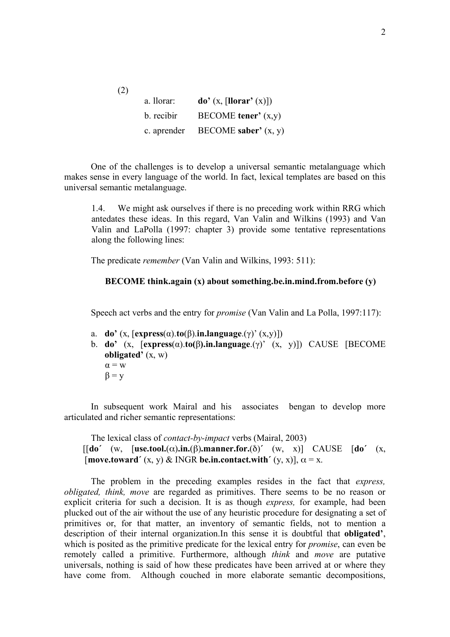| a. llorar: | $\mathbf{do}'(\mathbf{x}, \left[\mathbf{llorar}'(\mathbf{x})\right])$ |
|------------|-----------------------------------------------------------------------|
| b. recibir | $BECOME$ tener' $(x,y)$                                               |
|            | c. aprender BECOME saber' $(x, y)$                                    |

(2)

One of the challenges is to develop a universal semantic metalanguage which makes sense in every language of the world. In fact, lexical templates are based on this universal semantic metalanguage.

1.4. We might ask ourselves if there is no preceding work within RRG which antedates these ideas. In this regard, Van Valin and Wilkins (1993) and Van Valin and LaPolla (1997: chapter 3) provide some tentative representations along the following lines:

The predicate *remember* (Van Valin and Wilkins, 1993: 511):

# **BECOME think.again (x) about something.be.in.mind.from.before (y)**

Speech act verbs and the entry for *promise* (Van Valin and La Polla, 1997:117):

- a. **do'** (x, [**express**(α).**to**(β).**in.language**.(γ)' (x,y)])
- b. **do'** (x, [**express**(α).**to(**β**).in.language**.(γ)' (x, y)]) CAUSE [BECOME **obligated'** (x, w)  $\alpha = w$  $\beta = v$

In subsequent work Mairal and his associates bengan to develop more articulated and richer semantic representations:

The lexical class of *contact-by-impact* verbs (Mairal, 2003) [[**do´** (w, [**use.tool.**(α)**.in.**(β)**.manner.for.**(δ)**´** (w, x)] CAUSE [**do´** (x,  $[\text{move, toward'} (x, y) \& \text{INGR} \text{ be. in. contact. with'} (y, x)], \alpha = x.$ 

The problem in the preceding examples resides in the fact that *express, obligated, think, move* are regarded as primitives. There seems to be no reason or explicit criteria for such a decision. It is as though *express,* for example, had been plucked out of the air without the use of any heuristic procedure for designating a set of primitives or, for that matter, an inventory of semantic fields, not to mention a description of their internal organization.In this sense it is doubtful that **obligated'**, which is posited as the primitive predicate for the lexical entry for *promise*, can even be remotely called a primitive. Furthermore, although *think* and *move* are putative universals, nothing is said of how these predicates have been arrived at or where they have come from. Although couched in more elaborate semantic decompositions,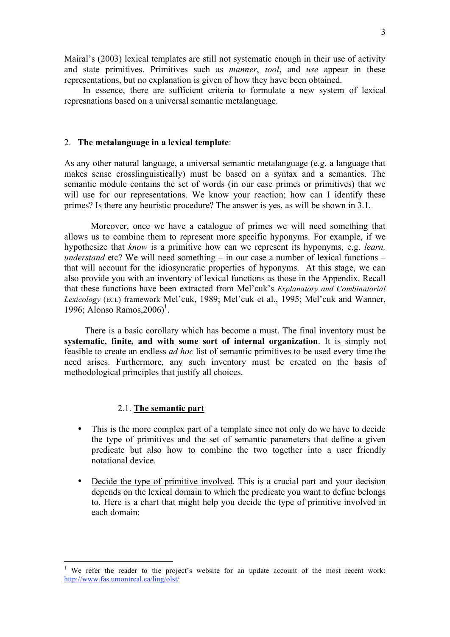Mairal's (2003) lexical templates are still not systematic enough in their use of activity and state primitives. Primitives such as *manner*, *tool*, and *use* appear in these representations, but no explanation is given of how they have been obtained.

In essence, there are sufficient criteria to formulate a new system of lexical represnations based on a universal semantic metalanguage.

#### 2. **The metalanguage in a lexical template**:

As any other natural language, a universal semantic metalanguage (e.g. a language that makes sense crosslinguistically) must be based on a syntax and a semantics. The semantic module contains the set of words (in our case primes or primitives) that we will use for our representations. We know your reaction; how can I identify these primes? Is there any heuristic procedure? The answer is yes, as will be shown in 3.1.

Moreover, once we have a catalogue of primes we will need something that allows us to combine them to represent more specific hyponyms. For example, if we hypothesize that *know* is a primitive how can we represent its hyponyms, e.g. *learn, understand* etc? We will need something – in our case a number of lexical functions – that will account for the idiosyncratic properties of hyponyms. At this stage, we can also provide you with an inventory of lexical functions as those in the Appendix. Recall that these functions have been extracted from Mel'cuk's *Explanatory and Combinatorial Lexicology* (ECL) framework Mel'cuk, 1989; Mel'cuk et al., 1995; Mel'cuk and Wanner, 1996; Alonso Ramos, 2006)<sup>1</sup>.

There is a basic corollary which has become a must. The final inventory must be **systematic, finite, and with some sort of internal organization**. It is simply not feasible to create an endless *ad hoc* list of semantic primitives to be used every time the need arises. Furthermore, any such inventory must be created on the basis of methodological principles that justify all choices.

#### 2.1. **The semantic part**

- This is the more complex part of a template since not only do we have to decide the type of primitives and the set of semantic parameters that define a given predicate but also how to combine the two together into a user friendly notational device.
- Decide the type of primitive involved. This is a crucial part and your decision depends on the lexical domain to which the predicate you want to define belongs to. Here is a chart that might help you decide the type of primitive involved in each domain:

<sup>&</sup>lt;sup>1</sup> We refer the reader to the project's website for an update account of the most recent work: http://www.fas.umontreal.ca/ling/olst/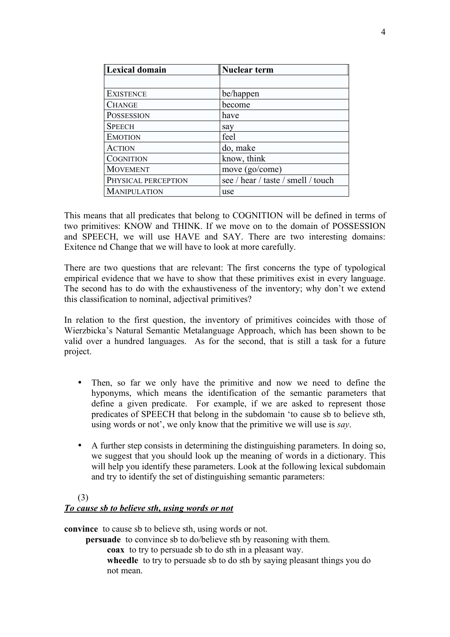| Lexical domain      | Nuclear term                       |
|---------------------|------------------------------------|
|                     |                                    |
| <b>EXISTENCE</b>    | be/happen                          |
| <b>CHANGE</b>       | become                             |
| <b>POSSESSION</b>   | have                               |
| <b>SPEECH</b>       | say                                |
| <b>EMOTION</b>      | feel                               |
| <b>ACTION</b>       | do, make                           |
| <b>COGNITION</b>    | know, think                        |
| <b>MOVEMENT</b>     | move (go/come)                     |
| PHYSICAL PERCEPTION | see / hear / taste / smell / touch |
| <b>MANIPULATION</b> | use                                |

This means that all predicates that belong to COGNITION will be defined in terms of two primitives: KNOW and THINK. If we move on to the domain of POSSESSION and SPEECH, we will use HAVE and SAY. There are two interesting domains: Exitence nd Change that we will have to look at more carefully.

There are two questions that are relevant: The first concerns the type of typological empirical evidence that we have to show that these primitives exist in every language. The second has to do with the exhaustiveness of the inventory; why don't we extend this classification to nominal, adjectival primitives?

In relation to the first question, the inventory of primitives coincides with those of Wierzbicka's Natural Semantic Metalanguage Approach, which has been shown to be valid over a hundred languages. As for the second, that is still a task for a future project.

- Then, so far we only have the primitive and now we need to define the hyponyms, which means the identification of the semantic parameters that define a given predicate. For example, if we are asked to represent those predicates of SPEECH that belong in the subdomain 'to cause sb to believe sth, using words or not', we only know that the primitive we will use is *say*.
- A further step consists in determining the distinguishing parameters. In doing so, we suggest that you should look up the meaning of words in a dictionary. This will help you identify these parameters. Look at the following lexical subdomain and try to identify the set of distinguishing semantic parameters:

# (3) *To cause sb to believe sth, using words or not*

**convince** to cause sb to believe sth, using words or not.

**persuade** to convince sb to do/believe sth by reasoning with them.

**coax** to try to persuade sb to do sth in a pleasant way.

wheedle to try to persuade sb to do sth by saying pleasant things you do not mean.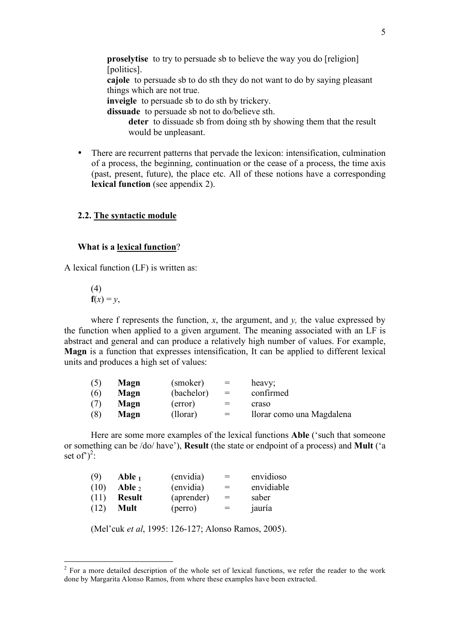**proselytise** to try to persuade sb to believe the way you do [religion] [politics].

**cajole** to persuade sb to do sth they do not want to do by saying pleasant things which are not true.

**inveigle** to persuade sb to do sth by trickery.

**dissuade** to persuade sb not to do/believe sth.

**deter** to dissuade sb from doing sth by showing them that the result would be unpleasant.

• There are recurrent patterns that pervade the lexicon: intensification, culmination of a process, the beginning, continuation or the cease of a process, the time axis (past, present, future), the place etc. All of these notions have a corresponding **lexical function** (see appendix 2).

# **2.2. The syntactic module**

# **What is a lexical function**?

A lexical function (LF) is written as:

(4)  $f(x) = y$ ,

where f represents the function,  $x$ , the argument, and  $y$ , the value expressed by the function when applied to a given argument. The meaning associated with an LF is abstract and general and can produce a relatively high number of values. For example, **Magn** is a function that expresses intensification, It can be applied to different lexical units and produces a high set of values:

| (5) | Magn | (smoker)   | $=$ | heavy;                    |
|-----|------|------------|-----|---------------------------|
| (6) | Magn | (bachelor) | $=$ | confirmed                 |
| (7) | Magn | (error)    | $=$ | craso                     |
| (8) | Magn | (llorar)   | $=$ | llorar como una Magdalena |

Here are some more examples of the lexical functions **Able** ('such that someone or something can be /do/ have'), **Result** (the state or endpoint of a process) and **Mult** ('a set of  $j^2$ :

| (9)  | Able 1        | (envidia)  | $=$ | envidioso  |
|------|---------------|------------|-----|------------|
| (10) | Able $_2$     | (envidia)  | $=$ | envidiable |
| (11) | <b>Result</b> | (aprender) | $=$ | saber      |
| (12) | Mult          | (perro)    | $=$ | jauría     |

(Mel'cuk *et al*, 1995: 126-127; Alonso Ramos, 2005).

<sup>&</sup>lt;sup>2</sup> For a more detailed description of the whole set of lexical functions, we refer the reader to the work done by Margarita Alonso Ramos, from where these examples have been extracted.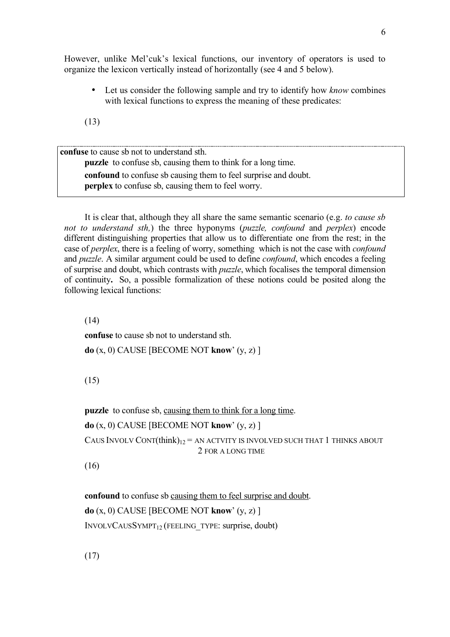However, unlike Mel'cuk's lexical functions, our inventory of operators is used to organize the lexicon vertically instead of horizontally (see 4 and 5 below).

• Let us consider the following sample and try to identify how *know* combines with lexical functions to express the meaning of these predicates:

(13)

**confuse** to cause sb not to understand sth. **puzzle** to confuse sb, causing them to think for a long time. **confound** to confuse sb causing them to feel surprise and doubt. **perplex** to confuse sb, causing them to feel worry.

It is clear that, although they all share the same semantic scenario (e.g. *to cause sb not to understand sth,*) the three hyponyms (*puzzle, confound* and *perplex*) encode different distinguishing properties that allow us to differentiate one from the rest; in the case of *perplex*, there is a feeling of worry, something which is not the case with *confound* and *puzzle*. A similar argument could be used to define *confound*, which encodes a feeling of surprise and doubt, which contrasts with *puzzle*, which focalises the temporal dimension of continuity**.** So, a possible formalization of these notions could be posited along the following lexical functions:

(14)

**confuse** to cause sb not to understand sth.

**do** (x, 0) CAUSE [BECOME NOT **know**' (y, z) ]

(15)

**puzzle** to confuse sb, causing them to think for a long time.

**do** (x, 0) CAUSE [BECOME NOT **know**' (y, z) ]

CAUS INVOLV CONT $(think)_{12}$  = AN ACTVITY IS INVOLVED SUCH THAT 1 THINKS ABOUT 2 FOR A LONG TIME

(16)

**confound** to confuse sb causing them to feel surprise and doubt. **do** (x, 0) CAUSE [BECOME NOT **know**' (y, z) ] INVOLVCAUSSYMPT12 (FEELING\_TYPE: surprise, doubt)

(17)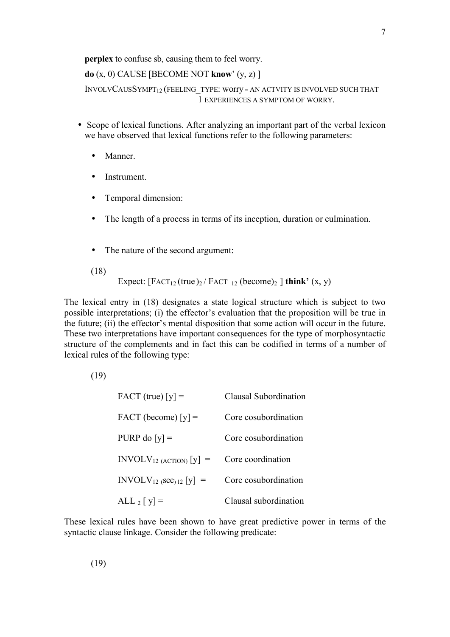**perplex** to confuse sb, causing them to feel worry.

**do** (x, 0) CAUSE [BECOME NOT **know**' (y, z) ] INVOLVCAUSSYMPT<sub>12</sub> (FEELING TYPE: worry = AN ACTVITY IS INVOLVED SUCH THAT 1 EXPERIENCES A SYMPTOM OF WORRY.

- Scope of lexical functions. After analyzing an important part of the verbal lexicon we have observed that lexical functions refer to the following parameters:
	- Manner.
	- Instrument.
	- Temporal dimension:
	- The length of a process in terms of its inception, duration or culmination.
	- The nature of the second argument:
	- (18)

$$
Expected: [FACT_{12}(true)_2 / FACT_{12} (become)_2 ] think' (x, y)
$$

The lexical entry in (18) designates a state logical structure which is subject to two possible interpretations; (i) the effector's evaluation that the proposition will be true in the future; (ii) the effector's mental disposition that some action will occur in the future. These two interpretations have important consequences for the type of morphosyntactic structure of the complements and in fact this can be codified in terms of a number of lexical rules of the following type:

(19)

| $FACT (true) [y] =$       | Clausal Subordination |
|---------------------------|-----------------------|
| $FACT (become) [y] =$     | Core cosubordination  |
| PURP do $[y]$ =           | Core cosubordination  |
| $INVOLV12 (ACTION) [y] =$ | Core coordination     |
| $INVOLV12 (see) 12 [y] =$ | Core cosubordination  |
| $ALL_2[y] =$              | Clausal subordination |

These lexical rules have been shown to have great predictive power in terms of the syntactic clause linkage. Consider the following predicate:

7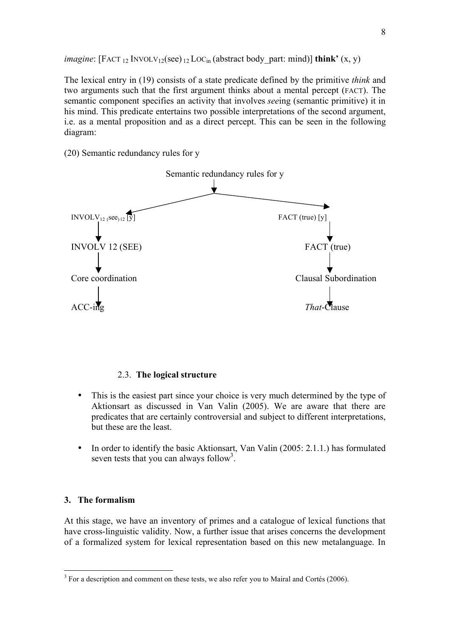*imagine*:  $[FACT_{12}$   $INVOLV_{12}(see)_{12}$   $LOC_{in}$  (abstract body part: mind)] **think'**  $(x, y)$ 

The lexical entry in (19) consists of a state predicate defined by the primitive *think* and two arguments such that the first argument thinks about a mental percept (FACT). The semantic component specifies an activity that involves *see*ing (semantic primitive) it in his mind. This predicate entertains two possible interpretations of the second argument, i.e. as a mental proposition and as a direct percept. This can be seen in the following diagram:

(20) Semantic redundancy rules for y



#### 2.3. **The logical structure**

- This is the easiest part since your choice is very much determined by the type of Aktionsart as discussed in Van Valin (2005). We are aware that there are predicates that are certainly controversial and subject to different interpretations, but these are the least.
- In order to identify the basic Aktionsart, Van Valin (2005: 2.1.1.) has formulated seven tests that you can always follow<sup>3</sup>.

# **3. The formalism**

At this stage, we have an inventory of primes and a catalogue of lexical functions that have cross-linguistic validity. Now, a further issue that arises concerns the development of a formalized system for lexical representation based on this new metalanguage. In

<sup>&</sup>lt;sup>3</sup> For a description and comment on these tests, we also refer you to Mairal and Cortés (2006).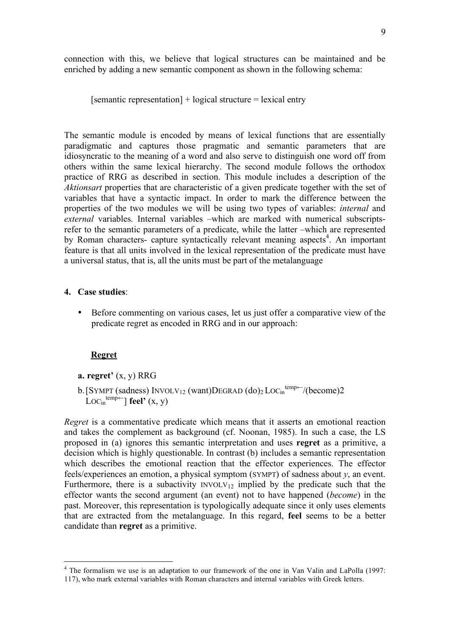connection with this, we believe that logical structures can be maintained and be enriched by adding a new semantic component as shown in the following schema:

[semantic representation] + logical structure = lexical entry

The semantic module is encoded by means of lexical functions that are essentially paradigmatic and captures those pragmatic and semantic parameters that are idiosyncratic to the meaning of a word and also serve to distinguish one word off from others within the same lexical hierarchy. The second module follows the orthodox practice of RRG as described in section. This module includes a description of the *Aktionsart* properties that are characteristic of a given predicate together with the set of variables that have a syntactic impact. In order to mark the difference between the properties of the two modules we will be using two types of variables: *internal* and *external* variables. Internal variables –which are marked with numerical subscriptsrefer to the semantic parameters of a predicate, while the latter –which are represented by Roman characters- capture syntactically relevant meaning aspects<sup>4</sup>. An important feature is that all units involved in the lexical representation of the predicate must have a universal status, that is, all the units must be part of the metalanguage

# **4. Case studies**:

• Before commenting on various cases, let us just offer a comparative view of the predicate regret as encoded in RRG and in our approach:

# **Regret**

- **a. regret'** (x, y) RRG
- b. [SYMPT (sadness) INVOLV<sub>12</sub> (want)DEGRAD  $(do)_2$  LOC<sub>in</sub><sup>temp—</sup>/(become)2  $Loc<sub>in</sub><sup>temp</sup>$  **feel'**  $(x, y)$

*Regret* is a commentative predicate which means that it asserts an emotional reaction and takes the complement as background (cf. Noonan, 1985). In such a case, the LS proposed in (a) ignores this semantic interpretation and uses **regret** as a primitive, a decision which is highly questionable. In contrast (b) includes a semantic representation which describes the emotional reaction that the effector experiences. The effector feels/experiences an emotion, a physical symptom (SYMPT) of sadness about *y*, an event. Furthermore, there is a subactivity  $INVOLV<sub>12</sub>$  implied by the predicate such that the effector wants the second argument (an event) not to have happened (*become*) in the past. Moreover, this representation is typologically adequate since it only uses elements that are extracted from the metalanguage. In this regard, **feel** seems to be a better candidate than **regret** as a primitive.

<sup>&</sup>lt;sup>4</sup> The formalism we use is an adaptation to our framework of the one in Van Valin and LaPolla (1997:

<sup>117),</sup> who mark external variables with Roman characters and internal variables with Greek letters.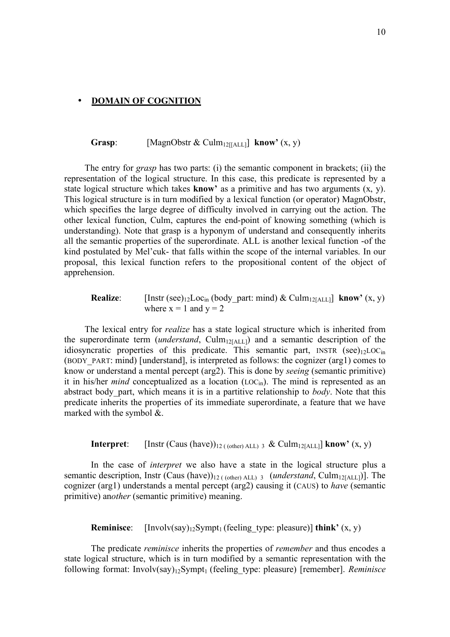#### • **DOMAIN OF COGNITION**

# **Grasp:** [MagnObstr & Culm<sub>12[[ALL]</sub> **know**<sup>'</sup> (x, y)

The entry for *grasp* has two parts: (i) the semantic component in brackets; (ii) the representation of the logical structure. In this case, this predicate is represented by a state logical structure which takes **know'** as a primitive and has two arguments (x, y). This logical structure is in turn modified by a lexical function (or operator) MagnObstr, which specifies the large degree of difficulty involved in carrying out the action. The other lexical function, Culm, captures the end-point of knowing something (which is understanding). Note that grasp is a hyponym of understand and consequently inherits all the semantic properties of the superordinate. ALL is another lexical function -of the kind postulated by Mel'cuk- that falls within the scope of the internal variables. In our proposal, this lexical function refers to the propositional content of the object of apprehension.

**Realize:** [Instr (see)<sub>12</sub>Loc<sub>in</sub> (body part: mind) & Culm<sub>12[ALL]</sub> **know**<sup>'</sup> (x, y) where  $x = 1$  and  $y = 2$ 

The lexical entry for *realize* has a state logical structure which is inherited from the superordinate term (*understand*, Culm<sub>12[ALL]</sub>) and a semantic description of the idiosyncratic properties of this predicate. This semantic part, INSTR (see)<sub>12</sub>LOC<sub>in</sub> (BODY\_PART: mind) [understand], is interpreted as follows: the cognizer (arg1) comes to know or understand a mental percept (arg2). This is done by *seeing* (semantic primitive) it in his/her *mind* conceptualized as a location  $(LOC_{in})$ . The mind is represented as an abstract body\_part, which means it is in a partitive relationship to *body*. Note that this predicate inherits the properties of its immediate superordinate, a feature that we have marked with the symbol &.

**Interpret**: [Instr (Caus (have))<sub>12 ((other) ALL) 3 & Culm<sub>12[ALL]</sub> **know**<sup>'</sup> (x, y)</sub>

In the case of *interpret* we also have a state in the logical structure plus a semantic description, Instr (Caus (have))<sub>12 ((other)</sub> ALL) 3 (*understand*, Culm<sub>12[ALL</sub>]). The cognizer (arg1) understands a mental percept (arg2) causing it (CAUS) to *have* (semantic primitive) an*other* (semantic primitive) meaning.

**Reminisce**:  $[Involv(say)_{12}Sympt_1$  (feeling type: pleasure)] **think'**  $(x, y)$ 

The predicate *reminisce* inherits the properties of *remember* and thus encodes a state logical structure, which is in turn modified by a semantic representation with the following format: Involv(say)<sub>12</sub>Sympt<sub>1</sub> (feeling type: pleasure) [remember]. *Reminisce*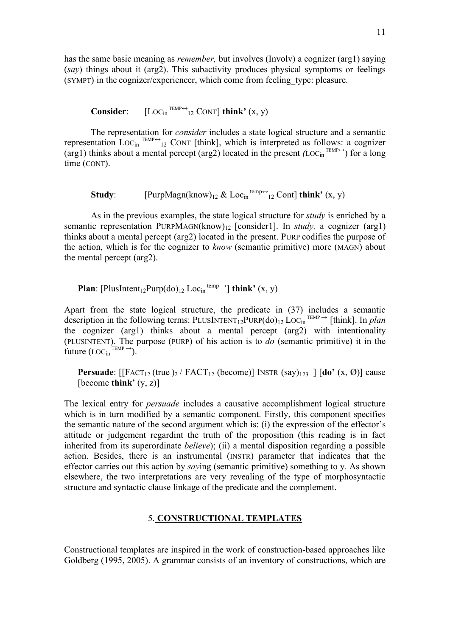has the same basic meaning as *remember,* but involves (Involv) a cognizer (arg1) saying (*say*) things about it (arg2). This subactivity produces physical symptoms or feelings (SYMPT) in the cognizer/experiencer, which come from feeling\_type: pleasure.

**Consider:**  $[LOC_{in}^{TEMP \leftrightarrow}{}_{12}$  CONT] **think'**  $(x, y)$ 

The representation for *consider* includes a state logical structure and a semantic representation  $Loc_{\text{in}} \xrightarrow{\text{TEMP}\leftrightarrow}_{12} \text{CONT [think]},$  which is interpreted as follows: a cognizer (arg1) thinks about a mental percept (arg2) located in the present  $(LOC_{in}^{TEMP\leftrightarrow})$  for a long time (CONT).

**Study**: [PurpMagn(know)<sub>12</sub> & Loc<sub>in</sub><sup>temp $\leftrightarrow$ </sup>12 Cont] **think'** (x, y)

As in the previous examples, the state logical structure for *study* is enriched by a semantic representation PURPMAGN(know)12 [consider1]. In *study,* a cognizer (arg1) thinks about a mental percept (arg2) located in the present. PURP codifies the purpose of the action, which is for the cognizer to *know* (semantic primitive) more (MAGN) about the mental percept (arg2).

**Plan**: [PlusIntent<sub>12</sub>Purp(do)<sub>12</sub> Loc<sub>in</sub><sup>temp</sup><sup> $\rightarrow$ </sup>] **think'** (x, y)

Apart from the state logical structure, the predicate in (37) includes a semantic description in the following terms: PLUSINTENT<sub>12</sub>PURP(do)<sub>12</sub> LOC<sub>in</sub><sup>TEMP</sup> <sup>→</sup> [think]. In *plan* the cognizer (arg1) thinks about a mental percept (arg2) with intentionality (PLUSINTENT). The purpose (PURP) of his action is to *do* (semantic primitive) it in the future  $(LOC_{in}^{TEMP}$ <sup>-1</sup>).

**Persuade**:  $\left[\text{[FACT}_{12} \text{ (true)}\right] / \text{FACT}_{12} \text{ (become)}\right] \text{[NSTR (say)}_{123} \left[\text{[do'} (x, \emptyset)\right] \text{ cause}$ [become **think'** (y, z)]

The lexical entry for *persuade* includes a causative accomplishment logical structure which is in turn modified by a semantic component. Firstly, this component specifies the semantic nature of the second argument which is: (i) the expression of the effector's attitude or judgement regardint the truth of the proposition (this reading is in fact inherited from its superordinate *believe*); (ii) a mental disposition regarding a possible action. Besides, there is an instrumental (INSTR) parameter that indicates that the effector carries out this action by *say*ing (semantic primitive) something to y. As shown elsewhere, the two interpretations are very revealing of the type of morphosyntactic structure and syntactic clause linkage of the predicate and the complement.

# 5. **CONSTRUCTIONAL TEMPLATES**

Constructional templates are inspired in the work of construction-based approaches like Goldberg (1995, 2005). A grammar consists of an inventory of constructions, which are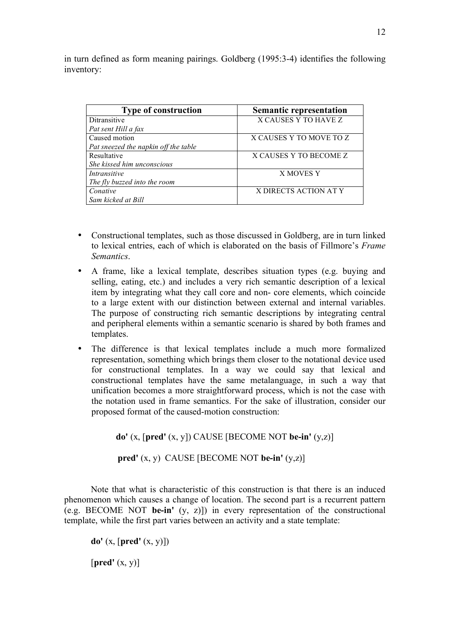in turn defined as form meaning pairings. Goldberg (1995:3-4) identifies the following inventory:

| <b>Type of construction</b>          | <b>Semantic representation</b> |
|--------------------------------------|--------------------------------|
| Ditransitive                         | X CAUSES Y TO HAVE Z           |
| Pat sent Hill a fax                  |                                |
| Caused motion                        | X CAUSES Y TO MOVE TO Z        |
| Pat sneezed the napkin off the table |                                |
| Resultative                          | X CAUSES Y TO BECOME Z         |
| She kissed him unconscious           |                                |
| <i>Intransitive</i>                  | X MOVES Y                      |
| The fly buzzed into the room         |                                |
| Conative                             | X DIRECTS ACTION AT Y          |
| Sam kicked at Bill                   |                                |

- Constructional templates, such as those discussed in Goldberg, are in turn linked to lexical entries, each of which is elaborated on the basis of Fillmore's *Frame Semantics*.
- A frame, like a lexical template, describes situation types (e.g. buying and selling, eating, etc.) and includes a very rich semantic description of a lexical item by integrating what they call core and non- core elements, which coincide to a large extent with our distinction between external and internal variables. The purpose of constructing rich semantic descriptions by integrating central and peripheral elements within a semantic scenario is shared by both frames and templates.
- The difference is that lexical templates include a much more formalized representation, something which brings them closer to the notational device used for constructional templates. In a way we could say that lexical and constructional templates have the same metalanguage, in such a way that unification becomes a more straightforward process, which is not the case with the notation used in frame semantics. For the sake of illustration, consider our proposed format of the caused-motion construction:

**do'** (x, [**pred'** (x, y]) CAUSE [BECOME NOT **be-in'** (y,z)]

**pred'** (x, y) CAUSE [BECOME NOT **be-in'** (y,z)]

Note that what is characteristic of this construction is that there is an induced phenomenon which causes a change of location. The second part is a recurrent pattern (e.g. BECOME NOT **be-in'** (y, z)]) in every representation of the constructional template, while the first part varies between an activity and a state template:

**do'** (x, [**pred'** (x, y)]) [**pred'** (x, y)]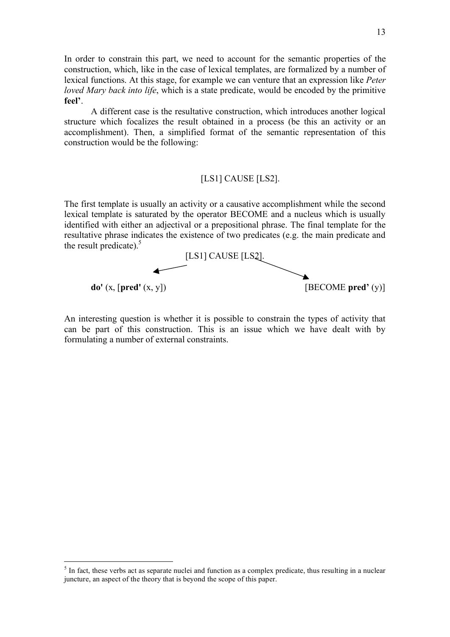In order to constrain this part, we need to account for the semantic properties of the construction, which, like in the case of lexical templates, are formalized by a number of lexical functions. At this stage, for example we can venture that an expression like *Peter loved Mary back into life*, which is a state predicate, would be encoded by the primitive **feel'**.

A different case is the resultative construction, which introduces another logical structure which focalizes the result obtained in a process (be this an activity or an accomplishment). Then, a simplified format of the semantic representation of this construction would be the following:

# [LS1] CAUSE [LS2].

The first template is usually an activity or a causative accomplishment while the second lexical template is saturated by the operator BECOME and a nucleus which is usually identified with either an adjectival or a prepositional phrase. The final template for the resultative phrase indicates the existence of two predicates (e.g. the main predicate and the result predicate).<sup>5</sup>



An interesting question is whether it is possible to constrain the types of activity that can be part of this construction. This is an issue which we have dealt with by formulating a number of external constraints.

<sup>&</sup>lt;sup>5</sup> In fact, these verbs act as separate nuclei and function as a complex predicate, thus resulting in a nuclear juncture, an aspect of the theory that is beyond the scope of this paper.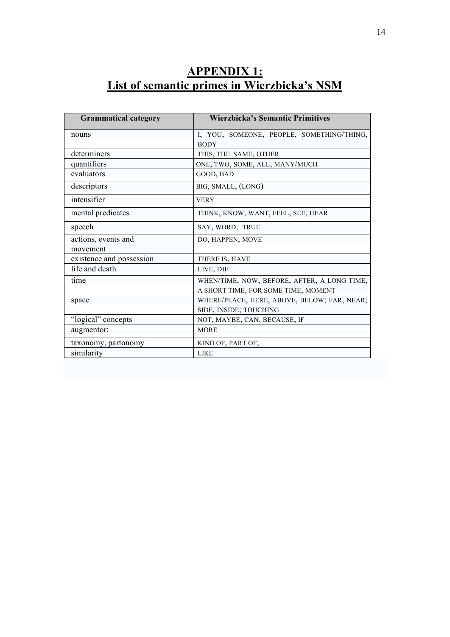# **APPENDIX 1: List of semantic primes in Wierzbicka's NSM**

| <b>Grammatical category</b> | <b>Wierzbicka's Semantic Primitives</b>     |
|-----------------------------|---------------------------------------------|
| nouns                       | I, YOU, SOMEONE, PEOPLE, SOMETHING/THING,   |
|                             | <b>BODY</b>                                 |
| determiners                 | THIS, THE SAME, OTHER                       |
| quantifiers                 | ONE, TWO, SOME, ALL, MANY/MUCH              |
| evaluators                  | GOOD, BAD                                   |
| descriptors                 | BIG, SMALL, (LONG)                          |
| intensifier                 | <b>VERY</b>                                 |
| mental predicates           | THINK, KNOW, WANT, FEEL, SEE, HEAR          |
| speech                      | SAY, WORD, TRUE                             |
| actions, events and         | DO, HAPPEN, MOVE                            |
| movement                    |                                             |
| existence and possession    | THERE IS, HAVE                              |
| life and death              | LIVE, DIE                                   |
| time                        | WHEN/TIME, NOW, BEFORE, AFTER, A LONG TIME, |
|                             | A SHORT TIME, FOR SOME TIME, MOMENT         |
| space                       | WHERE/PLACE, HERE, ABOVE, BELOW; FAR, NEAR; |
|                             | SIDE, INSIDE; TOUCHING                      |
| "logical" concepts          | NOT, MAYBE, CAN, BECAUSE, IF                |
| augmentor:                  | <b>MORE</b>                                 |
| taxonomy, partonomy         | KIND OF, PART OF;                           |
| similarity                  | <b>LIKE</b>                                 |